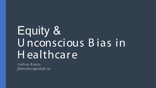# **Equity &** Unconscious Bias in Healthcare

Joshua Bosco jbosco@uoquelph.ca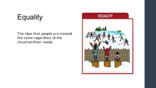# **Equality**

The idea that people are treated the same regardless of the situation/their needs.

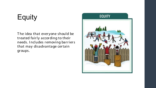# **Equity**

The idea that everyone should be treated fairly according to their needs. Includes removing barriers that may disadvantage certain groups.

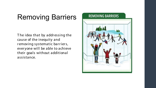# Removing Barriers

T he idea that by addr essing the cause of the inequity and removing systematic barriers, ever yone will be able to achieve their goals without additional assistance.

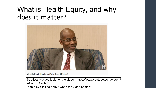## What is Health Equity, and why does it matter ?



What Is Health Equity, and Why Does It Matter?

\*Subtitles are available for the video - [https://www.youtube.com/watch?](https://www.youtube.com/watch?v=CwBEkGurMiY) v=CwBEkGurMiY

Enable by clicking here ^ when the video begins\*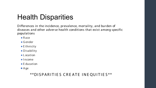# **Health Disparities**

Differences in the incidence, prevalence, mortality, and burden of diseases and other adverse health conditions that exist among specific populations

- $\bullet$  Race
- $\bullet$  Gender
- $\bullet$  E thnicity
- Disability
- Location
- $\bullet$  | ncome
- $\bullet$  F ducation
- $\bullet$  Age

#### \*\* DISPARITIES CREATE INEQUITIES\*\*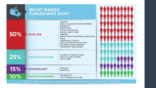|     | <b>WHAT MAKES</b><br><b>CANADIANS SICK?</b>                                                                                                                                                                                                                                                                                                                          |                    |
|-----|----------------------------------------------------------------------------------------------------------------------------------------------------------------------------------------------------------------------------------------------------------------------------------------------------------------------------------------------------------------------|--------------------|
| 50% | <b>INCOME</b><br><b>EARLY CHILDHOOD DEVELOPMENT</b><br><b>DISABILITY</b><br><b>EDUCATION</b><br><b>SOCIAL EXCLUSION</b><br><b>SOCIAL SAFETY NET</b><br><b>YOUR LIFE</b><br><b>GENDER</b><br><b>EMPLOYMENT/WORKING CONDITIONS</b><br><b>RACE</b><br><b>ABORIGINAL STATUS</b><br><b>SAFE AND NUTRITIOUS FOOD</b><br>HOUSING/HOMELESSNESS<br><b>COMMUNITY BELONGING</b> |                    |
| 25% | <b>ACCESS TO HEALTH CARE</b><br><b>YOUR HEALTH CARE</b><br><b>HEALTH CARE SYSTEM</b><br><b>WAIT TIMES</b>                                                                                                                                                                                                                                                            |                    |
| 15% | <b>BIOLOGY</b><br><b>YOUR BIOLOGY</b><br><b>GENETICS</b>                                                                                                                                                                                                                                                                                                             |                    |
| 10% | <b>AIR QUALITY</b><br>YOUR ENVIRONMENT<br><b>CIVIC INFRASTRUCTURE</b>                                                                                                                                                                                                                                                                                                |                    |
|     | <b>THESE ARE CANADA</b><br>FRMIN                                                                                                                                                                                                                                                                                                                                     | #SDOH<br>OF HEALTH |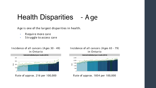## Health Disparities - A ge

Age is one of the largest disparities in health.

- $\cdot$  Require more care
- Struggle to access care









R ate of appr ox. 216 per 100,000 R ate of appr ox. 1854 per 100,000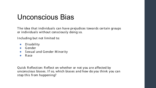# Unconscious Bias

The idea that individuals can have prejudices towards certain groups or individuals without consciously doing so.

Including but not limited to:

- Disability  $\bullet$
- $\bullet$  Gender
- Sexual and Gender Minority
- Race  $\bullet$

Quick Reflection: Reflect on whether or not you are affected by unconscious biases. If so, which biases and how do you think you can stop this from happening?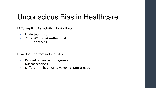### Unconscious Bias in Healthcare

IAT: Implicit Association Test - Race

- M ain test used
- 2002-2017  $=$  >4 million tests
- 75% show bias

H ow does it affect individuals?

- Premature/missed diagnoses
- Misconceptions
- Different behaviour towards certain groups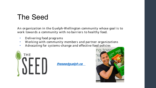# **The Seed**

An organization in the Guelph-Wellington community whose goal is to work towards a community with no barriers to healthy food.

- Delivering food programs  $\bullet$
- Working with community members and partner organizations  $\bullet$
- Advocating for systems-change and effective food policies  $\bullet$



theseedguelph.ca